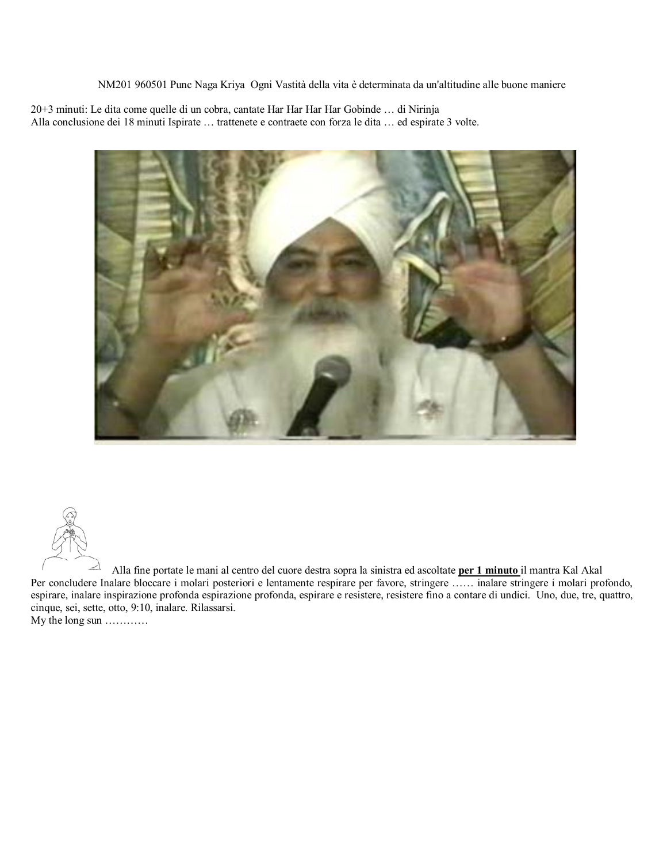NM201 960501 Punc Naga Kriya Ogni Vastità della vita è determinata da un'altitudine alle buone maniere

20+3 minuti: Le dita come quelle di un cobra, cantate Har Har Har Har Gobinde … di Nirinja Alla conclusione dei 18 minuti Ispirate … trattenete e contraete con forza le dita … ed espirate 3 volte.





Alla fine portate le mani al centro del cuore destra sopra la sinistra ed ascoltate **per 1 minuto** il mantra Kal Akal Per concludere Inalare bloccare i molari posteriori e lentamente respirare per favore, stringere …… inalare stringere i molari profondo, espirare, inalare inspirazione profonda espirazione profonda, espirare e resistere, resistere fino a contare di undici. Uno, due, tre, quattro, cinque, sei, sette, otto, 9:10, inalare. Rilassarsi.

My the long sun …………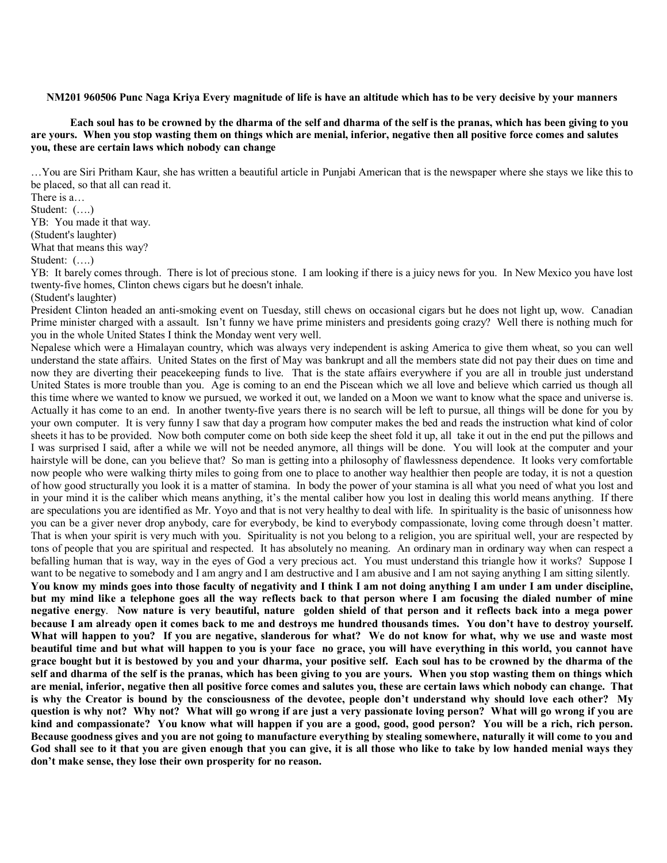**NM201 960506 Punc Naga Kriya Every magnitude of life is have an altitude which has to be very decisive by your manners**

**Each soul has to be crowned by the dharma of the self and dharma of the self is the pranas, which has been giving to you are yours. When you stop wasting them on things which are menial, inferior, negative then all positive force comes and salutes you, these are certain laws which nobody can change**

…You are Siri Pritham Kaur, she has written a beautiful article in Punjabi American that is the newspaper where she stays we like this to be placed, so that all can read it.

There is a… Student: (….) YB: You made it that way. (Student's laughter)

What that means this way?

Student: (….)

YB: It barely comes through. There is lot of precious stone. I am looking if there is a juicy news for you. In New Mexico you have lost twenty-five homes, Clinton chews cigars but he doesn't inhale.

(Student's laughter)

President Clinton headed an anti-smoking event on Tuesday, still chews on occasional cigars but he does not light up, wow. Canadian Prime minister charged with a assault. Isn't funny we have prime ministers and presidents going crazy? Well there is nothing much for you in the whole United States I think the Monday went very well.

Nepalese which were a Himalayan country, which was always very independent is asking America to give them wheat, so you can well understand the state affairs. United States on the first of May was bankrupt and all the members state did not pay their dues on time and now they are diverting their peacekeeping funds to live. That is the state affairs everywhere if you are all in trouble just understand United States is more trouble than you. Age is coming to an end the Piscean which we all love and believe which carried us though all this time where we wanted to know we pursued, we worked it out, we landed on a Moon we want to know what the space and universe is. Actually it has come to an end. In another twenty-five years there is no search will be left to pursue, all things will be done for you by your own computer. It is very funny I saw that day a program how computer makes the bed and reads the instruction what kind of color sheets it has to be provided. Now both computer come on both side keep the sheet fold it up, all take it out in the end put the pillows and I was surprised I said, after a while we will not be needed anymore, all things will be done. You will look at the computer and your hairstyle will be done, can you believe that? So man is getting into a philosophy of flawlessness dependence. It looks very comfortable now people who were walking thirty miles to going from one to place to another way healthier then people are today, it is not a question of how good structurally you look it is a matter of stamina. In body the power of your stamina is all what you need of what you lost and in your mind it is the caliber which means anything, it's the mental caliber how you lost in dealing this world means anything. If there are speculations you are identified as Mr. Yoyo and that is not very healthy to deal with life. In spirituality is the basic of unisonness how you can be a giver never drop anybody, care for everybody, be kind to everybody compassionate, loving come through doesn't matter. That is when your spirit is very much with you. Spirituality is not you belong to a religion, you are spiritual well, your are respected by tons of people that you are spiritual and respected. It has absolutely no meaning. An ordinary man in ordinary way when can respect a befalling human that is way, way in the eyes of God a very precious act. You must understand this triangle how it works? Suppose I want to be negative to somebody and I am angry and I am destructive and I am abusive and I am not saying anything I am sitting silently. **You know my minds goes into those faculty of negativity and I think I am not doing anything I am under I am under discipline, but my mind like a telephone goes all the way reflects back to that person where I am focusing the dialed number of mine negative energy**. **Now nature is very beautiful, nature golden shield of that person and it reflects back into a mega power because I am already open it comes back to me and destroys me hundred thousands times. You don't have to destroy yourself. What will happen to you? If you are negative, slanderous for what? We do not know for what, why we use and waste most beautiful time and but what will happen to you is your face no grace, you will have everything in this world, you cannot have grace bought but it is bestowed by you and your dharma, your positive self. Each soul has to be crowned by the dharma of the self and dharma of the self is the pranas, which has been giving to you are yours. When you stop wasting them on things which are menial, inferior, negative then all positive force comes and salutes you, these are certain laws which nobody can change. That is why the Creator is bound by the consciousness of the devotee, people don't understand why should love each other? My question is why not? Why not? What will go wrong if are just a very passionate loving person? What will go wrong if you are kind and compassionate? You know what will happen if you are a good, good, good person? You will be a rich, rich person. Because goodness gives and you are not going to manufacture everything by stealing somewhere, naturally it will come to you and God shall see to it that you are given enough that you can give, it is all those who like to take by low handed menial ways they don't make sense, they lose their own prosperity for no reason.**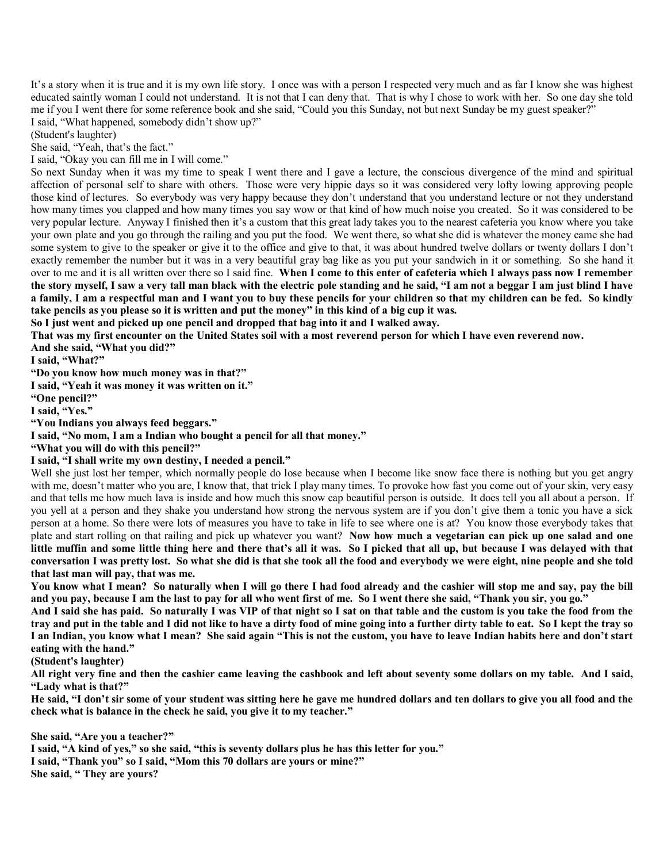It's a story when it is true and it is my own life story. I once was with a person I respected very much and as far I know she was highest educated saintly woman I could not understand. It is not that I can deny that. That is why I chose to work with her. So one day she told me if you I went there for some reference book and she said, "Could you this Sunday, not but next Sunday be my guest speaker?" I said, "What happened, somebody didn't show up?"

(Student's laughter)

She said, "Yeah, that's the fact."

I said, "Okay you can fill me in I will come."

So next Sunday when it was my time to speak I went there and I gave a lecture, the conscious divergence of the mind and spiritual affection of personal self to share with others. Those were very hippie days so it was considered very lofty lowing approving people those kind of lectures. So everybody was very happy because they don't understand that you understand lecture or not they understand how many times you clapped and how many times you say wow or that kind of how much noise you created. So it was considered to be very popular lecture. Anyway I finished then it's a custom that this great lady takes you to the nearest cafeteria you know where you take your own plate and you go through the railing and you put the food. We went there, so what she did is whatever the money came she had some system to give to the speaker or give it to the office and give to that, it was about hundred twelve dollars or twenty dollars I don't exactly remember the number but it was in a very beautiful gray bag like as you put your sandwich in it or something. So she hand it over to me and it is all written over there so I said fine. **When I come to this enter of cafeteria which I always pass now I remember the story myself, I saw a very tall man black with the electric pole standing and he said, "I am not a beggar I am just blind I have a family, I am a respectful man and I want you to buy these pencils for your children so that my children can be fed. So kindly take pencils as you please so it is written and put the money" in this kind of a big cup it was.**

**So I just went and picked up one pencil and dropped that bag into it and I walked away.**

**That was my first encounter on the United States soil with a most reverend person for which I have even reverend now.**

**And she said, "What you did?"**

**I said, "What?"**

**"Do you know how much money was in that?"**

**I said, "Yeah it was money it was written on it."**

**"One pencil?"**

**I said, "Yes."**

**"You Indians you always feed beggars."**

**I said, "No mom, I am a Indian who bought a pencil for all that money."**

**"What you will do with this pencil?"**

**I said, "I shall write my own destiny, I needed a pencil."**

Well she just lost her temper, which normally people do lose because when I become like snow face there is nothing but you get angry with me, doesn't matter who you are, I know that, that trick I play many times. To provoke how fast you come out of your skin, very easy and that tells me how much lava is inside and how much this snow cap beautiful person is outside. It does tell you all about a person. If you yell at a person and they shake you understand how strong the nervous system are if you don't give them a tonic you have a sick person at a home. So there were lots of measures you have to take in life to see where one is at? You know those everybody takes that plate and start rolling on that railing and pick up whatever you want? **Now how much a vegetarian can pick up one salad and one little muffin and some little thing here and there that's all it was. So I picked that all up, but because I was delayed with that conversation I was pretty lost. So what she did is that she took all the food and everybody we were eight, nine people and she told that last man will pay, that was me.**

**You know what I mean? So naturally when I will go there I had food already and the cashier will stop me and say, pay the bill and you pay, because I am the last to pay for all who went first of me. So I went there she said, "Thank you sir, you go."**

**And I said she has paid. So naturally I was VIP of that night so I sat on that table and the custom is you take the food from the tray and put in the table and I did not like to have a dirty food of mine going into a further dirty table to eat. So I kept the tray so I an Indian, you know what I mean? She said again "This is not the custom, you have to leave Indian habits here and don't start eating with the hand."**

**(Student's laughter)**

**All right very fine and then the cashier came leaving the cashbook and left about seventy some dollars on my table. And I said, "Lady what is that?"**

**He said, "I don't sir some of your student was sitting here he gave me hundred dollars and ten dollars to give you all food and the check what is balance in the check he said, you give it to my teacher."**

**She said, "Are you a teacher?"**

**I said, "A kind of yes," so she said, "this is seventy dollars plus he has this letter for you." I said, "Thank you" so I said, "Mom this 70 dollars are yours or mine?" She said, " They are yours?**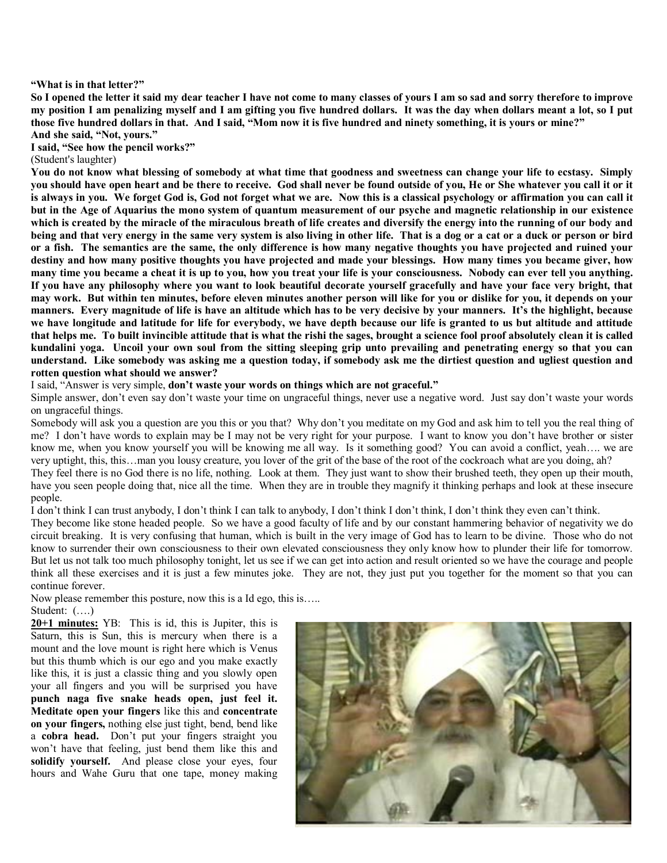## **"What is in that letter?"**

**So I opened the letter it said my dear teacher I have not come to many classes of yours I am so sad and sorry therefore to improve my position I am penalizing myself and I am gifting you five hundred dollars. It was the day when dollars meant a lot, so I put those five hundred dollars in that. And I said, "Mom now it is five hundred and ninety something, it is yours or mine?" And she said, "Not, yours."**

**I said, "See how the pencil works?"**

(Student's laughter)

**You do not know what blessing of somebody at what time that goodness and sweetness can change your life to ecstasy. Simply you should have open heart and be there to receive. God shall never be found outside of you, He or She whatever you call it or it is always in you. We forget God is, God not forget what we are. Now this is a classical psychology or affirmation you can call it but in the Age of Aquarius the mono system of quantum measurement of our psyche and magnetic relationship in our existence which is created by the miracle of the miraculous breath of life creates and diversify the energy into the running of our body and being and that very energy in the same very system is also living in other life. That is a dog or a cat or a duck or person or bird or a fish. The semantics are the same, the only difference is how many negative thoughts you have projected and ruined your destiny and how many positive thoughts you have projected and made your blessings. How many times you became giver, how many time you became a cheat it is up to you, how you treat your life is your consciousness. Nobody can ever tell you anything. If you have any philosophy where you want to look beautiful decorate yourself gracefully and have your face very bright, that may work. But within ten minutes, before eleven minutes another person will like for you or dislike for you, it depends on your manners. Every magnitude of life is have an altitude which has to be very decisive by your manners. It's the highlight, because we have longitude and latitude for life for everybody, we have depth because our life is granted to us but altitude and attitude that helps me. To built invincible attitude that is what the rishi the sages, brought a science fool proof absolutely clean it is called kundalini yoga. Uncoil your own soul from the sitting sleeping grip unto prevailing and penetrating energy so that you can understand. Like somebody was asking me a question today, if somebody ask me the dirtiest question and ugliest question and rotten question what should we answer?**

I said, "Answer is very simple, **don't waste your words on things which are not graceful."**

Simple answer, don't even say don't waste your time on ungraceful things, never use a negative word. Just say don't waste your words on ungraceful things.

Somebody will ask you a question are you this or you that? Why don't you meditate on my God and ask him to tell you the real thing of me? I don't have words to explain may be I may not be very right for your purpose. I want to know you don't have brother or sister know me, when you know yourself you will be knowing me all way. Is it something good? You can avoid a conflict, yeah.... we are very uptight, this, this…man you lousy creature, you lover of the grit of the base of the root of the cockroach what are you doing, ah? They feel there is no God there is no life, nothing. Look at them. They just want to show their brushed teeth, they open up their mouth,

have you seen people doing that, nice all the time. When they are in trouble they magnify it thinking perhaps and look at these insecure people.

I don't think I can trust anybody, I don't think I can talk to anybody, I don't think I don't think, I don't think they even can't think.

They become like stone headed people. So we have a good faculty of life and by our constant hammering behavior of negativity we do circuit breaking. It is very confusing that human, which is built in the very image of God has to learn to be divine. Those who do not know to surrender their own consciousness to their own elevated consciousness they only know how to plunder their life for tomorrow. But let us not talk too much philosophy tonight, let us see if we can get into action and result oriented so we have the courage and people think all these exercises and it is just a few minutes joke. They are not, they just put you together for the moment so that you can continue forever.

Now please remember this posture, now this is a Id ego, this is…..

Student: (….)

**20+1 minutes:** YB: This is id, this is Jupiter, this is Saturn, this is Sun, this is mercury when there is a mount and the love mount is right here which is Venus but this thumb which is our ego and you make exactly like this, it is just a classic thing and you slowly open your all fingers and you will be surprised you have **punch naga five snake heads open, just feel it. Meditate open your fingers** like this and **concentrate on your fingers,** nothing else just tight, bend, bend like a **cobra head.** Don't put your fingers straight you won't have that feeling, just bend them like this and **solidify yourself.** And please close your eyes, four hours and Wahe Guru that one tape, money making

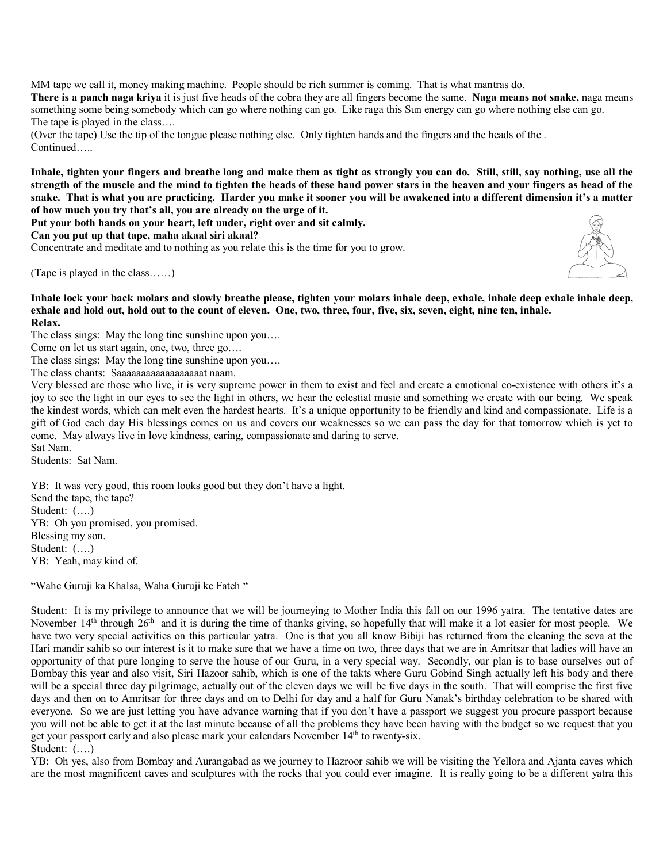MM tape we call it, money making machine. People should be rich summer is coming. That is what mantras do.

**There is a panch naga kriya** it is just five heads of the cobra they are all fingers become the same. **Naga means not snake,** naga means something some being somebody which can go where nothing can go. Like raga this Sun energy can go where nothing else can go. The tape is played in the class….

(Over the tape) Use the tip of the tongue please nothing else. Only tighten hands and the fingers and the heads of the . Continued…..

**Inhale, tighten your fingers and breathe long and make them as tight as strongly you can do. Still, still, say nothing, use all the strength of the muscle and the mind to tighten the heads of these hand power stars in the heaven and your fingers as head of the snake. That is what you are practicing. Harder you make it sooner you will be awakened into a different dimension it's a matter of how much you try that's all, you are already on the urge of it.**

**Put your both hands on your heart, left under, right over and sit calmly.**

**Can you put up that tape, maha akaal siri akaal?**

Concentrate and meditate and to nothing as you relate this is the time for you to grow.

(Tape is played in the class……)



**Inhale lock your back molars and slowly breathe please, tighten your molars inhale deep, exhale, inhale deep exhale inhale deep, exhale and hold out, hold out to the count of eleven. One, two, three, four, five, six, seven, eight, nine ten, inhale. Relax.**

The class sings: May the long tine sunshine upon you….

Come on let us start again, one, two, three go….

The class sings: May the long tine sunshine upon you….

The class chants: Saaaaaaaaaaaaaaaaaat naam.

Very blessed are those who live, it is very supreme power in them to exist and feel and create a emotional co-existence with others it's a joy to see the light in our eyes to see the light in others, we hear the celestial music and something we create with our being. We speak the kindest words, which can melt even the hardest hearts. It's a unique opportunity to be friendly and kind and compassionate. Life is a gift of God each day His blessings comes on us and covers our weaknesses so we can pass the day for that tomorrow which is yet to come. May always live in love kindness, caring, compassionate and daring to serve. Sat Nam.

Students: Sat Nam.

YB: It was very good, this room looks good but they don't have a light. Send the tape, the tape? Student: (….) YB: Oh you promised, you promised. Blessing my son. Student: (….) YB: Yeah, may kind of.

"Wahe Guruji ka Khalsa, Waha Guruji ke Fateh "

Student: It is my privilege to announce that we will be journeying to Mother India this fall on our 1996 yatra. The tentative dates are November 14<sup>th</sup> through 26<sup>th</sup> and it is during the time of thanks giving, so hopefully that will make it a lot easier for most people. We have two very special activities on this particular yatra. One is that you all know Bibiji has returned from the cleaning the seva at the Hari mandir sahib so our interest is it to make sure that we have a time on two, three days that we are in Amritsar that ladies will have an opportunity of that pure longing to serve the house of our Guru, in a very special way. Secondly, our plan is to base ourselves out of Bombay this year and also visit, Siri Hazoor sahib, which is one of the takts where Guru Gobind Singh actually left his body and there will be a special three day pilgrimage, actually out of the eleven days we will be five days in the south. That will comprise the first five days and then on to Amritsar for three days and on to Delhi for day and a half for Guru Nanak's birthday celebration to be shared with everyone. So we are just letting you have advance warning that if you don't have a passport we suggest you procure passport because you will not be able to get it at the last minute because of all the problems they have been having with the budget so we request that you get your passport early and also please mark your calendars November 14th to twenty-six. Student:  $(\ldots)$ 

YB: Oh yes, also from Bombay and Aurangabad as we journey to Hazroor sahib we will be visiting the Yellora and Ajanta caves which are the most magnificent caves and sculptures with the rocks that you could ever imagine. It is really going to be a different yatra this